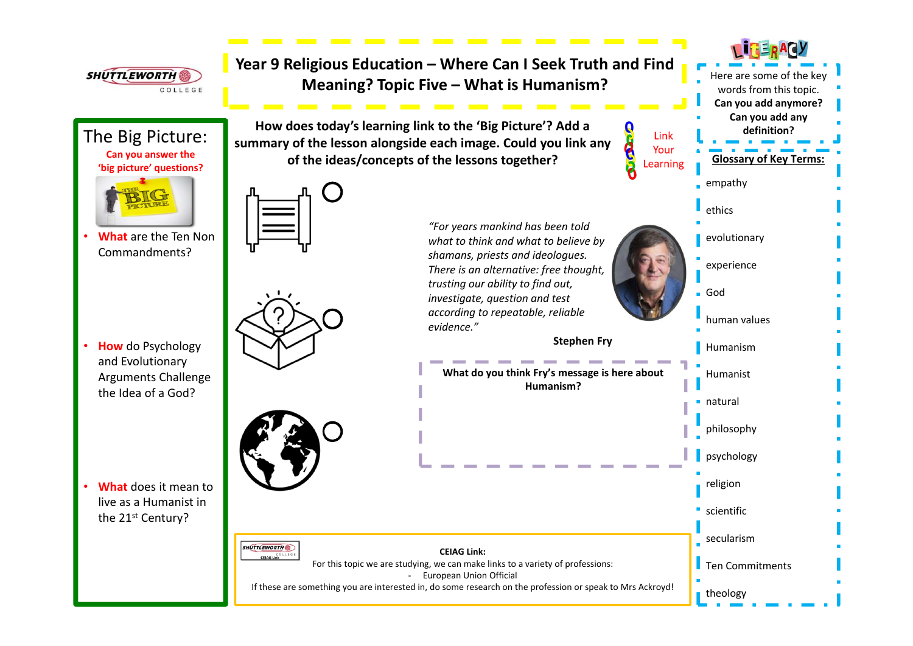